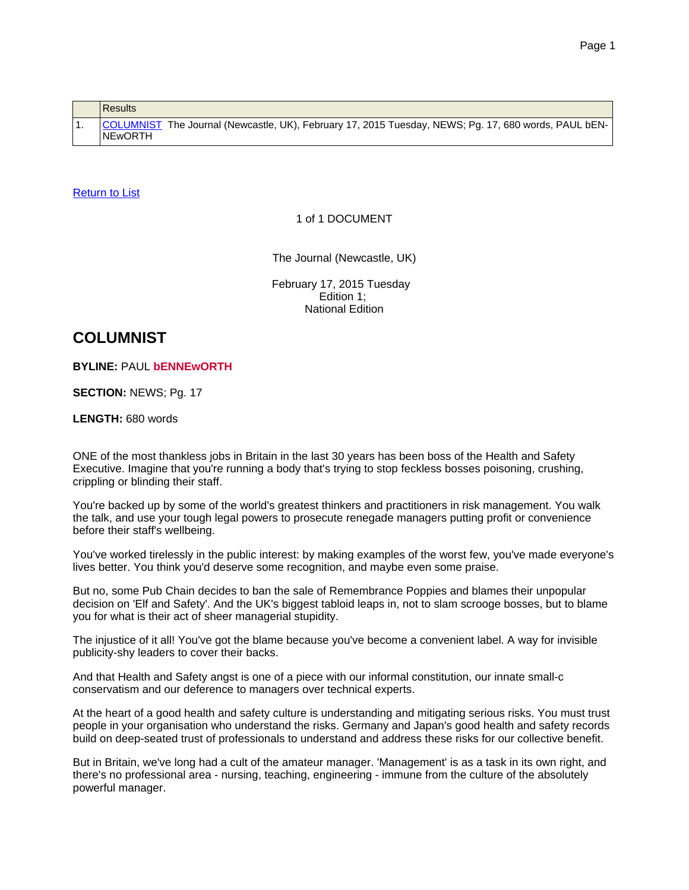<span id="page-0-0"></span>

|  | <b>Results</b>                                                                                                         |
|--|------------------------------------------------------------------------------------------------------------------------|
|  | COLUMNIST The Journal (Newcastle, UK), February 17, 2015 Tuesday, NEWS; Pg. 17, 680 words, PAUL bEN-<br><b>NEwORTH</b> |

## [Return](#page-0-0) to List

#### 1 of 1 DOCUMENT

The Journal (Newcastle, UK)

February 17, 2015 Tuesday Edition 1; National Edition

# **COLUMNIST**

#### **BYLINE:** PAUL **bENNEwORTH**

### **SECTION:** NEWS; Pg. 17

#### **LENGTH:** 680 words

ONE of the most thankless jobs in Britain in the last 30 years has been boss of the Health and Safety Executive. Imagine that you're running a body that's trying to stop feckless bosses poisoning, crushing, crippling or blinding their staff.

You're backed up by some of the world's greatest thinkers and practitioners in risk management. You walk the talk, and use your tough legal powers to prosecute renegade managers putting profit or convenience before their staff's wellbeing.

You've worked tirelessly in the public interest: by making examples of the worst few, you've made everyone's lives better. You think you'd deserve some recognition, and maybe even some praise.

But no, some Pub Chain decides to ban the sale of Remembrance Poppies and blames their unpopular decision on 'Elf and Safety'. And the UK's biggest tabloid leaps in, not to slam scrooge bosses, but to blame you for what is their act of sheer managerial stupidity.

The injustice of it all! You've got the blame because you've become a convenient label. A way for invisible publicity-shy leaders to cover their backs.

And that Health and Safety angst is one of a piece with our informal constitution, our innate small-c conservatism and our deference to managers over technical experts.

At the heart of a good health and safety culture is understanding and mitigating serious risks. You must trust people in your organisation who understand the risks. Germany and Japan's good health and safety records build on deep-seated trust of professionals to understand and address these risks for our collective benefit.

But in Britain, we've long had a cult of the amateur manager. 'Management' is as a task in its own right, and there's no professional area - nursing, teaching, engineering - immune from the culture of the absolutely powerful manager.